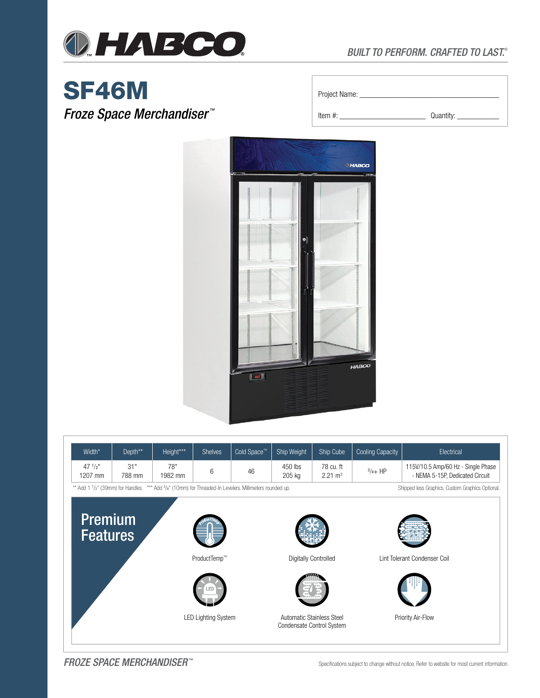

# SF46M

*Froze Space Merchandiser ™*

| Project Name: |  |
|---------------|--|
|---------------|--|

Item #: \_\_\_\_\_\_\_\_\_\_\_\_\_\_\_\_\_\_\_\_\_\_\_ Quantity: \_\_\_\_\_\_\_\_\_\_\_



| Width*                                                                                                                                                                                | Depth**       | Height***      | <b>Shelves</b> | Cold Space <sup>™</sup> | <b>Ship Weight</b> | Ship Cube                       | Cooling Capacity | Electrical                                                            |  |
|---------------------------------------------------------------------------------------------------------------------------------------------------------------------------------------|---------------|----------------|----------------|-------------------------|--------------------|---------------------------------|------------------|-----------------------------------------------------------------------|--|
| $47 \frac{1}{2}$ "<br>1207 mm                                                                                                                                                         | 31"<br>788 mm | 78"<br>1982 mm |                | 46                      | 450 lbs<br>205 kg  | 78 cu. ft<br>$2.21 \text{ m}^3$ | $^{3}/_{4}$ HP   | 115V/10.5 Amp/60 Hz - Single Phase<br>- NEMA 5-15P. Dedicated Circuit |  |
| ** Add 1 1/ <sub>2</sub> " (39mm) for Handles. *** Add 3/ <sub>8</sub> " (10mm) for Threaded-In Levelers. Millimeters rounded up.<br>Shipped less Graphics. Custom Graphics Optional. |               |                |                |                         |                    |                                 |                  |                                                                       |  |



*FROZE SPACE MERCHANDISER ™* Specifications subject to change without notice. Refer to website for most current information.